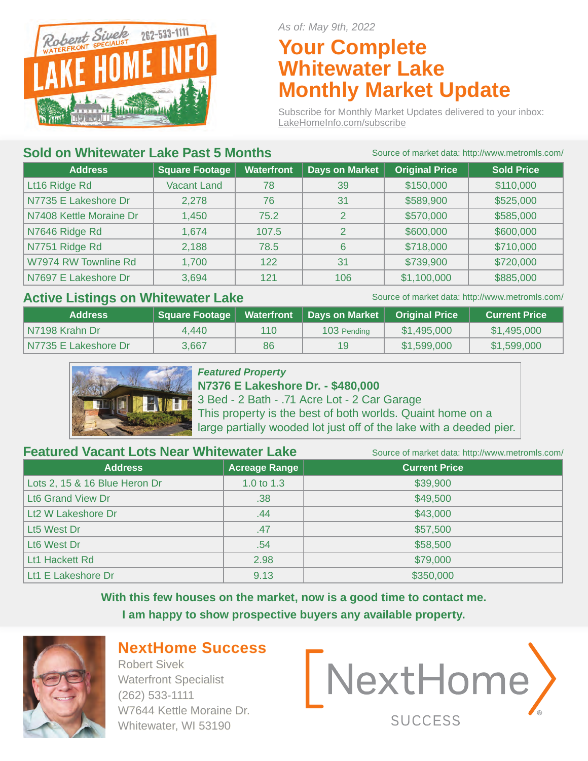

*As of: May 9th, 2022*

## **Your Complete Whitewater Lake Monthly Market Update**

Subscribe for Monthly Market Updates delivered to your inbox: LakeHomeInfo.com/subscribe

#### **Sold on Whitewater Lake Past 5 Months** Source of market data: http://www.metromls.com/

| <b>Address</b>          | <b>Square Footage</b> | <b>Waterfront</b> | <b>Days on Market</b> | <b>Original Price</b> | <b>Sold Price</b> |
|-------------------------|-----------------------|-------------------|-----------------------|-----------------------|-------------------|
| Lt16 Ridge Rd           | <b>Vacant Land</b>    | 78                | 39                    | \$150,000             | \$110,000         |
| N7735 E Lakeshore Dr    | 2,278                 | 76                | 31                    | \$589,900             | \$525,000         |
| N7408 Kettle Moraine Dr | 1,450                 | 75.2              | $\overline{2}$        | \$570,000             | \$585,000         |
| N7646 Ridge Rd          | 1,674                 | 107.5             | 2                     | \$600,000             | \$600,000         |
| N7751 Ridge Rd          | 2,188                 | 78.5              | 6                     | \$718,000             | \$710,000         |
| W7974 RW Townline Rd    | 1,700                 | 122               | 31                    | \$739,900             | \$720,000         |
| N7697 E Lakeshore Dr    | 3,694                 | 121               | 106                   | \$1,100,000           | \$885,000         |

#### Active Listings on Whitewater Lake Source of market data: http://www.metromls.com/

| <b>Address</b>       | Square Footage | <b>Waterfront</b> | Days on Market | <b>Original Price</b> | <b>Current Price</b> |
|----------------------|----------------|-------------------|----------------|-----------------------|----------------------|
| l N7198 Krahn Dr     | 4.440          | 110               | 103 Pending    | \$1,495,000           | \$1,495,000          |
| N7735 E Lakeshore Dr | 3.667          | 86                | 19             | \$1,599,000           | \$1,599,000          |



#### *Featured Property*

**N7376 E Lakeshore Dr. - \$480,000**  3 Bed - 2 Bath - .71 Acre Lot - 2 Car Garage This property is the best of both worlds. Quaint home on a large partially wooded lot just off of the lake with a deeded pier.

**Featured Vacant Lots Near Whitewater Lake** Source of market data: http://www.metromls.com/

| <b>Address</b>                | Acreage Range ' | <b>Current Price</b> |
|-------------------------------|-----------------|----------------------|
| Lots 2, 15 & 16 Blue Heron Dr | 1.0 to 1.3      | \$39,900             |
| Lt6 Grand View Dr             | .38             | \$49,500             |
| Lt2 W Lakeshore Dr            | .44             | \$43,000             |
| Lt5 West Dr                   | .47             | \$57,500             |
| Lt6 West Dr                   | .54             | \$58,500             |
| Lt1 Hackett Rd                | 2.98            | \$79,000             |
| Lt1 E Lakeshore Dr            | 9.13            | \$350,000            |

**With this few houses on the market, now is a good time to contact me. I am happy to show prospective buyers any available property.** 



### **NextHome Success**

Robert Sivek Waterfront Specialist (262) 533-1111 W7644 Kettle Moraine Dr. Whitewater, WI 53190